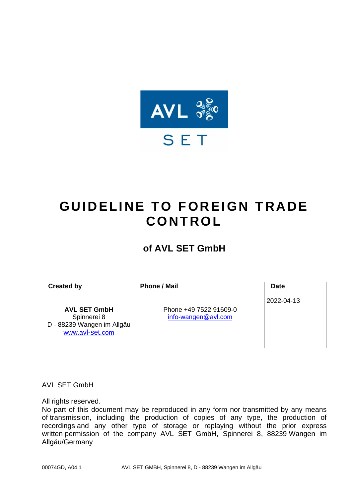

# <span id="page-0-0"></span>**GUIDELINE TO FOREIGN TRADE CONT RO L**

## **of AVL SET GmbH**

| <b>Created by</b>                                                                   | <b>Phone / Mail</b>                           | <b>Date</b> |
|-------------------------------------------------------------------------------------|-----------------------------------------------|-------------|
| <b>AVL SET GmbH</b><br>Spinnerei 8<br>D - 88239 Wangen im Allgäu<br>www.avl-set.com | Phone +49 7522 91609-0<br>info-wangen@avl.com | 2022-04-13  |

AVL SET GmbH

All rights reserved.

<span id="page-0-1"></span>No part of this document may be reproduced in any form nor transmitted by any means of transmission, including the production of copies of any type, the production of recordings and any other type of storage or replaying without the prior express written permission of the company AVL SET GmbH, Spinnerei 8, 88239 Wangen im Allgäu/Germany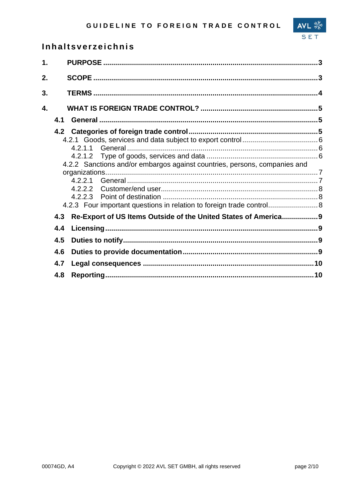## Inhaltsverzeichnis

| $\mathbf 1$ . |     |                                                                           |  |
|---------------|-----|---------------------------------------------------------------------------|--|
| 2.            |     |                                                                           |  |
| 3.            |     |                                                                           |  |
| 4.            |     |                                                                           |  |
|               | 4.1 |                                                                           |  |
|               |     |                                                                           |  |
|               |     |                                                                           |  |
|               |     |                                                                           |  |
|               |     |                                                                           |  |
|               |     | 4.2.2 Sanctions and/or embargos against countries, persons, companies and |  |
|               |     |                                                                           |  |
|               |     |                                                                           |  |
|               |     |                                                                           |  |
|               |     |                                                                           |  |
|               |     | 4.2.3 Four important questions in relation to foreign trade control       |  |
|               | 4.3 | Re-Export of US Items Outside of the United States of America9            |  |
|               | 4.4 |                                                                           |  |
|               | 4.5 |                                                                           |  |
|               | 4.6 |                                                                           |  |
|               | 4.7 |                                                                           |  |
|               | 4.8 |                                                                           |  |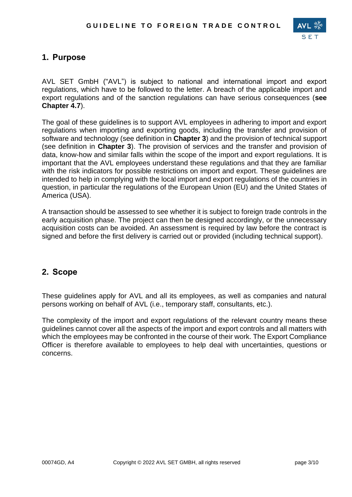

## **1. Purpose**

AVL SET GmbH ("AVL") is subject to national and international import and export regulations, which have to be followed to the letter. A breach of the applicable import and export regulations and of the sanction regulations can have serious consequences (**see Chapter 4.7**).

The goal of these guidelines is to support AVL employees in adhering to import and export regulations when importing and exporting goods, including the transfer and provision of software and technology (see definition in **Chapter 3**) and the provision of technical support (see definition in **Chapter 3**). The provision of services and the transfer and provision of data, know-how and similar falls within the scope of the import and export regulations. It is important that the AVL employees understand these regulations and that they are familiar with the risk indicators for possible restrictions on import and export. These guidelines are intended to help in complying with the local import and export regulations of the countries in question, in particular the regulations of the European Union (EU) and the United States of America (USA).

A transaction should be assessed to see whether it is subject to foreign trade controls in the early acquisition phase. The project can then be designed accordingly, or the unnecessary acquisition costs can be avoided. An assessment is required by law before the contract is signed and before the first delivery is carried out or provided (including technical support).

### **2. Scope**

These guidelines apply for AVL and all its employees, as well as companies and natural persons working on behalf of AVL (i.e., temporary staff, consultants, etc.).

The complexity of the import and export regulations of the relevant country means these guidelines cannot cover all the aspects of the import and export controls and all matters with which the employees may be confronted in the course of their work. The Export Compliance Officer is therefore available to employees to help deal with uncertainties, questions or concerns.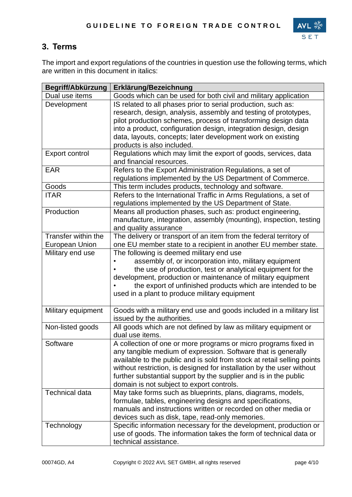

## **3. Terms**

The import and export regulations of the countries in question use the following terms, which are written in this document in italics:

| Begriff/Abkürzung     | Erklärung/Bezeichnung                                                                                                       |
|-----------------------|-----------------------------------------------------------------------------------------------------------------------------|
| Dual use items        | Goods which can be used for both civil and military application                                                             |
| Development           | IS related to all phases prior to serial production, such as:                                                               |
|                       | research, design, analysis, assembly and testing of prototypes,                                                             |
|                       | pilot production schemes, process of transforming design data                                                               |
|                       | into a product, configuration design, integration design, design                                                            |
|                       | data, layouts, concepts; later development work on existing                                                                 |
|                       | products is also included.                                                                                                  |
| Export control        | Regulations which may limit the export of goods, services, data                                                             |
|                       | and financial resources.                                                                                                    |
| <b>EAR</b>            | Refers to the Export Administration Regulations, a set of                                                                   |
|                       | regulations implemented by the US Department of Commerce.                                                                   |
| Goods                 | This term includes products, technology and software.                                                                       |
| <b>ITAR</b>           | Refers to the International Traffic in Arms Regulations, a set of                                                           |
|                       | regulations implemented by the US Department of State.                                                                      |
| Production            | Means all production phases, such as: product engineering,                                                                  |
|                       | manufacture, integration, assembly (mounting), inspection, testing                                                          |
|                       | and quality assurance                                                                                                       |
| Transfer within the   | The delivery or transport of an item from the federal territory of                                                          |
| <b>European Union</b> | one EU member state to a recipient in another EU member state.                                                              |
| Military end use      | The following is deemed military end use                                                                                    |
|                       | assembly of, or incorporation into, military equipment                                                                      |
|                       | the use of production, test or analytical equipment for the                                                                 |
|                       | development, production or maintenance of military equipment                                                                |
|                       | the export of unfinished products which are intended to be                                                                  |
|                       | used in a plant to produce military equipment                                                                               |
|                       |                                                                                                                             |
| Military equipment    | Goods with a military end use and goods included in a military list                                                         |
|                       | issued by the authorities.                                                                                                  |
| Non-listed goods      | All goods which are not defined by law as military equipment or                                                             |
|                       | dual use items.                                                                                                             |
| Software              | A collection of one or more programs or micro programs fixed in                                                             |
|                       | any tangible medium of expression. Software that is generally                                                               |
|                       | available to the public and is sold from stock at retail selling points                                                     |
|                       | without restriction, is designed for installation by the user without                                                       |
|                       | further substantial support by the supplier and is in the public                                                            |
|                       | domain is not subject to export controls.                                                                                   |
| <b>Technical data</b> | May take forms such as blueprints, plans, diagrams, models,                                                                 |
|                       | formulae, tables, engineering designs and specifications,<br>manuals and instructions written or recorded on other media or |
|                       | devices such as disk, tape, read-only memories.                                                                             |
| Technology            | Specific information necessary for the development, production or                                                           |
|                       | use of goods. The information takes the form of technical data or                                                           |
|                       |                                                                                                                             |
|                       | technical assistance.                                                                                                       |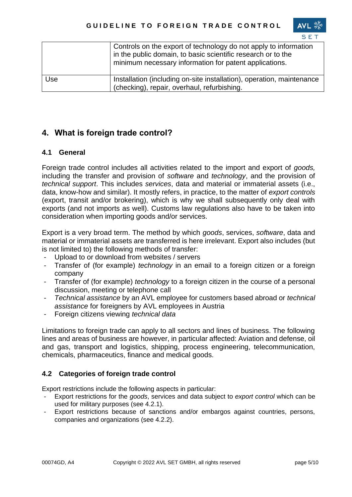|     | Controls on the export of technology do not apply to information<br>in the public domain, to basic scientific research or to the<br>minimum necessary information for patent applications. |
|-----|--------------------------------------------------------------------------------------------------------------------------------------------------------------------------------------------|
| Use | Installation (including on-site installation), operation, maintenance<br>(checking), repair, overhaul, refurbishing.                                                                       |

## **4. What is foreign trade control?**

#### **4.1 General**

Foreign trade control includes all activities related to the import and export of *goods,* including the transfer and provision of *software* and *technology*, and the provision of *technical support*. This includes *services*, data and material or immaterial assets (i.e., data, know-how and similar). It mostly refers, in practice, to the matter of *export controls*  (export, transit and/or brokering), which is why we shall subsequently only deal with exports (and not imports as well). Customs law regulations also have to be taken into consideration when importing goods and/or services.

Export is a very broad term. The method by which *goods*, services, *software*, data and material or immaterial assets are transferred is here irrelevant. Export also includes (but is not limited to) the following methods of transfer:

- Upload to or download from websites / servers
- Transfer of (for example) *technology* in an email to a foreign citizen or a foreign company
- Transfer of (for example) *technology* to a foreign citizen in the course of a personal discussion, meeting or telephone call
- *Technical assistance* by an AVL employee for customers based abroad or *technical assistance* for foreigners by AVL employees in Austria
- Foreign citizens viewing *technical data*

Limitations to foreign trade can apply to all sectors and lines of business. The following lines and areas of business are however, in particular affected: Aviation and defense, oil and gas, transport and logistics, shipping, process engineering, telecommunication, chemicals, pharmaceutics, finance and medical goods.

#### **4.2 Categories of foreign trade control**

Export restrictions include the following aspects in particular:

- Export restrictions for the *goods*, services and data subject to *export control* which can be used for military purposes (see 4.2.1).
- Export restrictions because of sanctions and/or embargos against countries, persons, companies and organizations (see 4.2.2).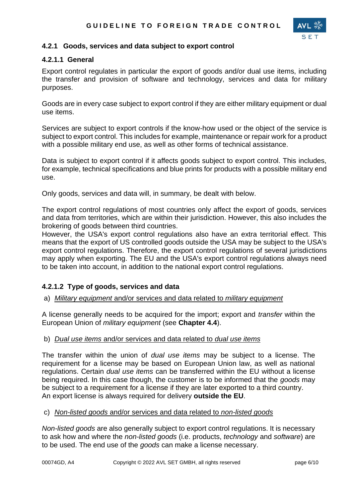

#### **4.2.1 Goods, services and data subject to export control**

#### **4.2.1.1 General**

Export control regulates in particular the export of goods and/or dual use items, including the transfer and provision of software and technology, services and data for military purposes.

Goods are in every case subject to export control if they are either military equipment or dual use items.

Services are subject to export controls if the know-how used or the object of the service is subject to export control. This includes for example, maintenance or repair work for a product with a possible military end use, as well as other forms of technical assistance.

Data is subject to export control if it affects goods subject to export control. This includes, for example, technical specifications and blue prints for products with a possible military end use.

Only goods, services and data will, in summary, be dealt with below.

The export control regulations of most countries only affect the export of goods, services and data from territories, which are within their jurisdiction. However, this also includes the brokering of goods between third countries.

However, the USA's export control regulations also have an extra territorial effect. This means that the export of US controlled goods outside the USA may be subject to the USA's export control regulations. Therefore, the export control regulations of several jurisdictions may apply when exporting. The EU and the USA's export control regulations always need to be taken into account, in addition to the national export control regulations.

#### **4.2.1.2 Type of goods, services and data**

a) *Military equipment* and/or services and data related to *military equipment*

A license generally needs to be acquired for the import; export and *transfer* within the European Union of *military equipment* (see **Chapter 4.4**).

#### b) *Dual use items* and/or services and data related to *dual use items*

The transfer within the union of *dual use items* may be subject to a license. The requirement for a license may be based on European Union law, as well as national regulations. Certain *dual use items* can be transferred within the EU without a license being required. In this case though, the customer is to be informed that the *goods* may be subject to a requirement for a license if they are later exported to a third country. An export license is always required for delivery **outside the EU**.

c) *Non-listed goods* and/or services and data related to *non-listed goods*

*Non-listed goods* are also generally subject to export control regulations. It is necessary to ask how and where the *non-listed goods* (i.e. products, *technology* and *software*) are to be used. The end use of the *goods* can make a license necessary.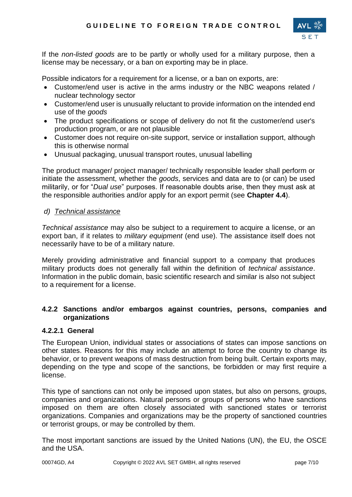

If the *non-listed goods* are to be partly or wholly used for a military purpose, then a license may be necessary, or a ban on exporting may be in place.

Possible indicators for a requirement for a license, or a ban on exports, are:

- Customer/end user is active in the arms industry or the NBC weapons related / nuclear technology sector
- Customer/end user is unusually reluctant to provide information on the intended end use of the *goods*
- The product specifications or scope of delivery do not fit the customer/end user's production program, or are not plausible
- Customer does not require on-site support, service or installation support, although this is otherwise normal
- Unusual packaging, unusual transport routes, unusual labelling

The product manager/ project manager/ technically responsible leader shall perform or initiate the assessment, whether the *goods*, services and data are to (or can) be used militarily, or for "*Dual use*" purposes. If reasonable doubts arise, then they must ask at the responsible authorities and/or apply for an export permit (see **Chapter 4.4**).

#### *d) Technical assistance*

*Technical assistance* may also be subject to a requirement to acquire a license, or an export ban, if it relates to *military equipment* (end use). The assistance itself does not necessarily have to be of a military nature.

Merely providing administrative and financial support to a company that produces military products does not generally fall within the definition of *technical assistance*. Information in the public domain, basic scientific research and similar is also not subject to a requirement for a license.

#### **4.2.2 Sanctions and/or embargos against countries, persons, companies and organizations**

#### **4.2.2.1 General**

The European Union, individual states or associations of states can impose sanctions on other states. Reasons for this may include an attempt to force the country to change its behavior, or to prevent weapons of mass destruction from being built. Certain exports may, depending on the type and scope of the sanctions, be forbidden or may first require a license.

This type of sanctions can not only be imposed upon states, but also on persons, groups, companies and organizations. Natural persons or groups of persons who have sanctions imposed on them are often closely associated with sanctioned states or terrorist organizations. Companies and organizations may be the property of sanctioned countries or terrorist groups, or may be controlled by them.

The most important sanctions are issued by the United Nations (UN), the EU, the OSCE and the USA.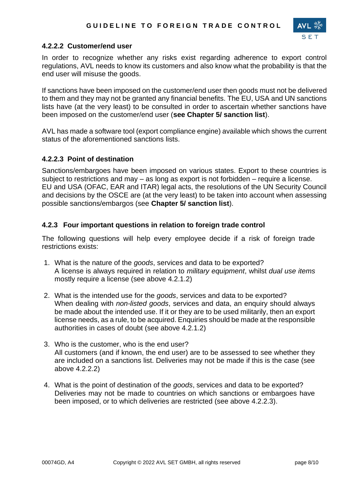

#### **4.2.2.2 Customer/end user**

In order to recognize whether any risks exist regarding adherence to export control regulations, AVL needs to know its customers and also know what the probability is that the end user will misuse the goods.

If sanctions have been imposed on the customer/end user then goods must not be delivered to them and they may not be granted any financial benefits. The EU, USA and UN sanctions lists have (at the very least) to be consulted in order to ascertain whether sanctions have been imposed on the customer/end user (**see Chapter 5/ sanction list**).

AVL has made a software tool (export compliance engine) available which shows the current status of the aforementioned sanctions lists.

#### **4.2.2.3 Point of destination**

Sanctions/embargoes have been imposed on various states. Export to these countries is subject to restrictions and may – as long as export is not forbidden – require a license. EU and USA (OFAC, EAR and ITAR) legal acts, the resolutions of the UN Security Council and decisions by the OSCE are (at the very least) to be taken into account when assessing possible sanctions/embargos (see **Chapter 5/ sanction list**).

#### **4.2.3 Four important questions in relation to foreign trade control**

The following questions will help every employee decide if a risk of foreign trade restrictions exists:

- 1. What is the nature of the *goods*, services and data to be exported? A license is always required in relation to *military equipment*, whilst *dual use items* mostly require a license (see above 4.2.1.2)
- 2. What is the intended use for the *goods*, services and data to be exported? When dealing with *non-listed goods*, services and data, an enquiry should always be made about the intended use. If it or they are to be used militarily, then an export license needs, as a rule, to be acquired. Enquiries should be made at the responsible authorities in cases of doubt (see above 4.2.1.2)
- 3. Who is the customer, who is the end user? All customers (and if known, the end user) are to be assessed to see whether they are included on a sanctions list. Deliveries may not be made if this is the case (see above 4.2.2.2)
- 4. What is the point of destination of the *goods*, services and data to be exported? Deliveries may not be made to countries on which sanctions or embargoes have been imposed, or to which deliveries are restricted (see above 4.2.2.3).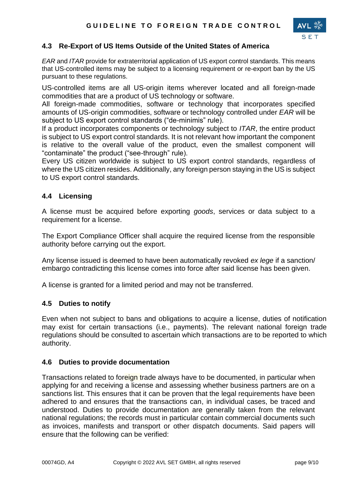

#### **4.3 Re-Export of US Items Outside of the United States of America**

*EAR* and *ITAR* provide for extraterritorial application of US export control standards. This means that US-controlled items may be subject to a licensing requirement or re-export ban by the US pursuant to these regulations.

US-controlled items are all US-origin items wherever located and all foreign-made commodities that are a product of US technology or software.

All foreign-made commodities, software or technology that incorporates specified amounts of US-origin commodities, software or technology controlled under *EAR* will be subject to US export control standards ("de-minimis" rule).

If a product incorporates components or technology subject to *ITAR*, the entire product is subject to US export control standards. It is not relevant how important the component is relative to the overall value of the product, even the smallest component will "contaminate" the product ("see-through" rule).

Every US citizen worldwide is subject to US export control standards, regardless of where the US citizen resides. Additionally, any foreign person staying in the US is subject to US export control standards.

#### **4.4 Licensing**

A license must be acquired before exporting *goods*, services or data subject to a requirement for a license.

The Export Compliance Officer shall acquire the required license from the responsible authority before carrying out the export.

Any license issued is deemed to have been automatically revoked *ex lege* if a sanction/ embargo contradicting this license comes into force after said license has been given.

A license is granted for a limited period and may not be transferred.

#### **4.5 Duties to notify**

Even when not subject to bans and obligations to acquire a license, duties of notification may exist for certain transactions (i.e., payments). The relevant national foreign trade regulations should be consulted to ascertain which transactions are to be reported to which authority.

#### **4.6 Duties to provide documentation**

Transactions related to foreign trade always have to be documented, in particular when applying for and receiving a license and assessing whether business partners are on a sanctions list. This ensures that it can be proven that the legal requirements have been adhered to and ensures that the transactions can, in individual cases, be traced and understood. Duties to provide documentation are generally taken from the relevant national regulations; the records must in particular contain commercial documents such as invoices, manifests and transport or other dispatch documents. Said papers will ensure that the following can be verified: